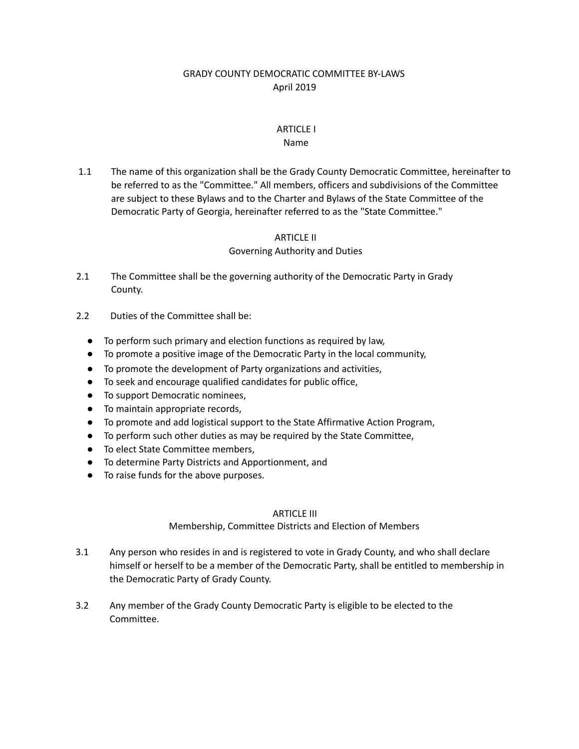# GRADY COUNTY DEMOCRATIC COMMITTEE BY-LAWS April 2019

# ARTICLE I

### Name

1.1 The name of this organization shall be the Grady County Democratic Committee, hereinafter to be referred to as the "Committee." All members, officers and subdivisions of the Committee are subject to these Bylaws and to the Charter and Bylaws of the State Committee of the Democratic Party of Georgia, hereinafter referred to as the "State Committee."

### ARTICLE II

## Governing Authority and Duties

- 2.1 The Committee shall be the governing authority of the Democratic Party in Grady County.
- 2.2 Duties of the Committee shall be:
	- To perform such primary and election functions as required by law,
	- To promote a positive image of the Democratic Party in the local community,
	- To promote the development of Party organizations and activities,
	- To seek and encourage qualified candidates for public office,
	- To support Democratic nominees,
	- To maintain appropriate records,
	- To promote and add logistical support to the State Affirmative Action Program,
	- To perform such other duties as may be required by the State Committee,
	- To elect State Committee members.
	- To determine Party Districts and Apportionment, and
	- To raise funds for the above purposes.

### ARTICLE III

## Membership, Committee Districts and Election of Members

- 3.1 Any person who resides in and is registered to vote in Grady County, and who shall declare himself or herself to be a member of the Democratic Party, shall be entitled to membership in the Democratic Party of Grady County.
- 3.2 Any member of the Grady County Democratic Party is eligible to be elected to the Committee.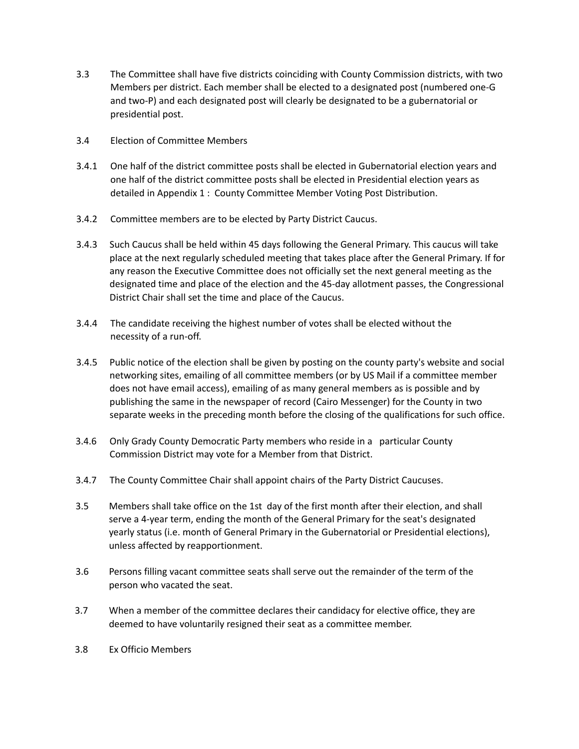- 3.3 The Committee shall have five districts coinciding with County Commission districts, with two Members per district. Each member shall be elected to a designated post (numbered one-G and two-P) and each designated post will clearly be designated to be a gubernatorial or presidential post.
- 3.4 Election of Committee Members
- 3.4.1 One half of the district committee posts shall be elected in Gubernatorial election years and one half of the district committee posts shall be elected in Presidential election years as detailed in Appendix 1 : County Committee Member Voting Post Distribution.
- 3.4.2 Committee members are to be elected by Party District Caucus.
- 3.4.3 Such Caucus shall be held within 45 days following the General Primary. This caucus will take place at the next regularly scheduled meeting that takes place after the General Primary. If for any reason the Executive Committee does not officially set the next general meeting as the designated time and place of the election and the 45-day allotment passes, the Congressional District Chair shall set the time and place of the Caucus.
- 3.4.4 The candidate receiving the highest number of votes shall be elected without the necessity of a run-off.
- 3.4.5 Public notice of the election shall be given by posting on the county party's website and social networking sites, emailing of all committee members (or by US Mail if a committee member does not have email access), emailing of as many general members as is possible and by publishing the same in the newspaper of record (Cairo Messenger) for the County in two separate weeks in the preceding month before the closing of the qualifications for such office.
- 3.4.6 Only Grady County Democratic Party members who reside in a particular County Commission District may vote for a Member from that District.
- 3.4.7 The County Committee Chair shall appoint chairs of the Party District Caucuses.
- 3.5 Members shall take office on the 1st day of the first month after their election, and shall serve a 4-year term, ending the month of the General Primary for the seat's designated yearly status (i.e. month of General Primary in the Gubernatorial or Presidential elections), unless affected by reapportionment.
- 3.6 Persons filling vacant committee seats shall serve out the remainder of the term of the person who vacated the seat.
- 3.7 When a member of the committee declares their candidacy for elective office, they are deemed to have voluntarily resigned their seat as a committee member.
- 3.8 Ex Officio Members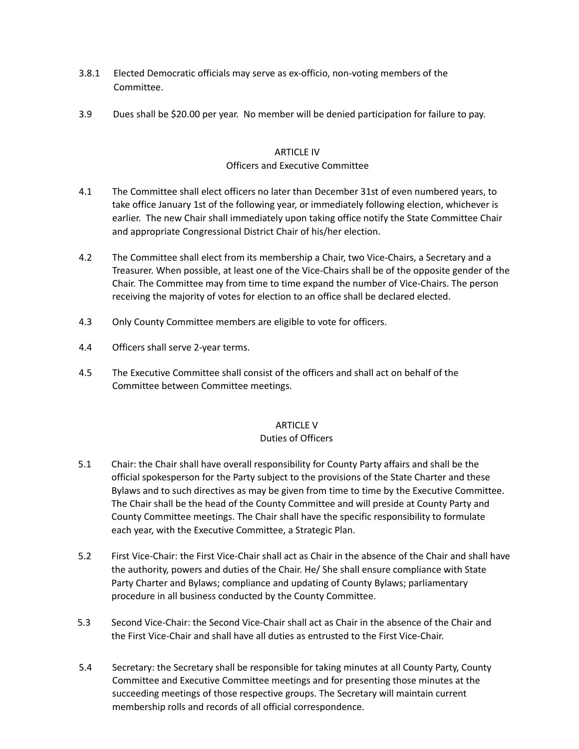- 3.8.1 Elected Democratic officials may serve as ex-officio, non-voting members of the Committee.
- 3.9 Dues shall be \$20.00 per year. No member will be denied participation for failure to pay.

### ARTICLE IV Officers and Executive Committee

- 4.1 The Committee shall elect officers no later than December 31st of even numbered years, to take office January 1st of the following year, or immediately following election, whichever is earlier. The new Chair shall immediately upon taking office notify the State Committee Chair and appropriate Congressional District Chair of his/her election.
- 4.2 The Committee shall elect from its membership a Chair, two Vice-Chairs, a Secretary and a Treasurer. When possible, at least one of the Vice-Chairs shall be of the opposite gender of the Chair. The Committee may from time to time expand the number of Vice-Chairs. The person receiving the majority of votes for election to an office shall be declared elected.
- 4.3 Only County Committee members are eligible to vote for officers.
- 4.4 Officers shall serve 2-year terms.
- 4.5 The Executive Committee shall consist of the officers and shall act on behalf of the Committee between Committee meetings.

## ARTICLE V

## Duties of Officers

- 5.1 Chair: the Chair shall have overall responsibility for County Party affairs and shall be the official spokesperson for the Party subject to the provisions of the State Charter and these Bylaws and to such directives as may be given from time to time by the Executive Committee. The Chair shall be the head of the County Committee and will preside at County Party and County Committee meetings. The Chair shall have the specific responsibility to formulate each year, with the Executive Committee, a Strategic Plan.
- 5.2 First Vice-Chair: the First Vice-Chair shall act as Chair in the absence of the Chair and shall have the authority, powers and duties of the Chair. He/ She shall ensure compliance with State Party Charter and Bylaws; compliance and updating of County Bylaws; parliamentary procedure in all business conducted by the County Committee.
- 5.3 Second Vice-Chair: the Second Vice-Chair shall act as Chair in the absence of the Chair and the First Vice-Chair and shall have all duties as entrusted to the First Vice-Chair.
- 5.4 Secretary: the Secretary shall be responsible for taking minutes at all County Party, County Committee and Executive Committee meetings and for presenting those minutes at the succeeding meetings of those respective groups. The Secretary will maintain current membership rolls and records of all official correspondence.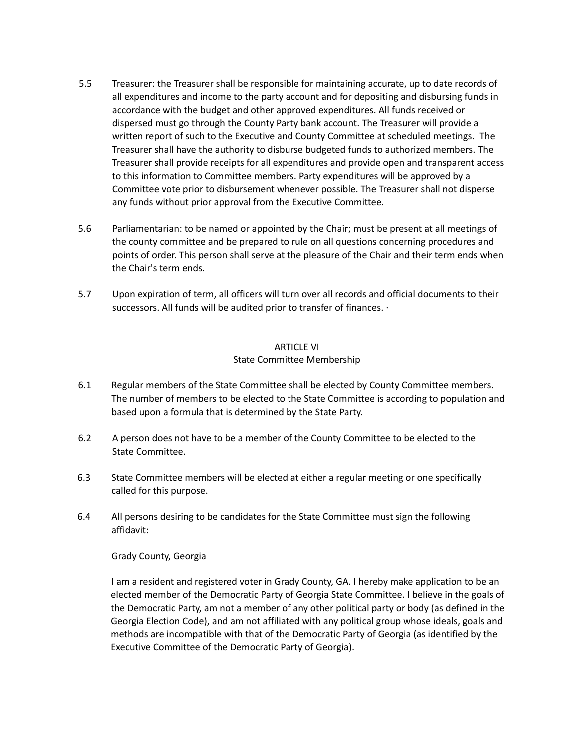- 5.5 Treasurer: the Treasurer shall be responsible for maintaining accurate, up to date records of all expenditures and income to the party account and for depositing and disbursing funds in accordance with the budget and other approved expenditures. All funds received or dispersed must go through the County Party bank account. The Treasurer will provide a written report of such to the Executive and County Committee at scheduled meetings. The Treasurer shall have the authority to disburse budgeted funds to authorized members. The Treasurer shall provide receipts for all expenditures and provide open and transparent access to this information to Committee members. Party expenditures will be approved by a Committee vote prior to disbursement whenever possible. The Treasurer shall not disperse any funds without prior approval from the Executive Committee.
- 5.6 Parliamentarian: to be named or appointed by the Chair; must be present at all meetings of the county committee and be prepared to rule on all questions concerning procedures and points of order. This person shall serve at the pleasure of the Chair and their term ends when the Chair's term ends.
- 5.7 Upon expiration of term, all officers will turn over all records and official documents to their successors. All funds will be audited prior to transfer of finances. ·

### ARTICLE VI State Committee Membership

- 6.1 Regular members of the State Committee shall be elected by County Committee members. The number of members to be elected to the State Committee is according to population and based upon a formula that is determined by the State Party.
- 6.2 A person does not have to be a member of the County Committee to be elected to the State Committee.
- 6.3 State Committee members will be elected at either a regular meeting or one specifically called for this purpose.
- 6.4 All persons desiring to be candidates for the State Committee must sign the following affidavit:

### Grady County, Georgia

I am a resident and registered voter in Grady County, GA. I hereby make application to be an elected member of the Democratic Party of Georgia State Committee. I believe in the goals of the Democratic Party, am not a member of any other political party or body (as defined in the Georgia Election Code), and am not affiliated with any political group whose ideals, goals and methods are incompatible with that of the Democratic Party of Georgia (as identified by the Executive Committee of the Democratic Party of Georgia).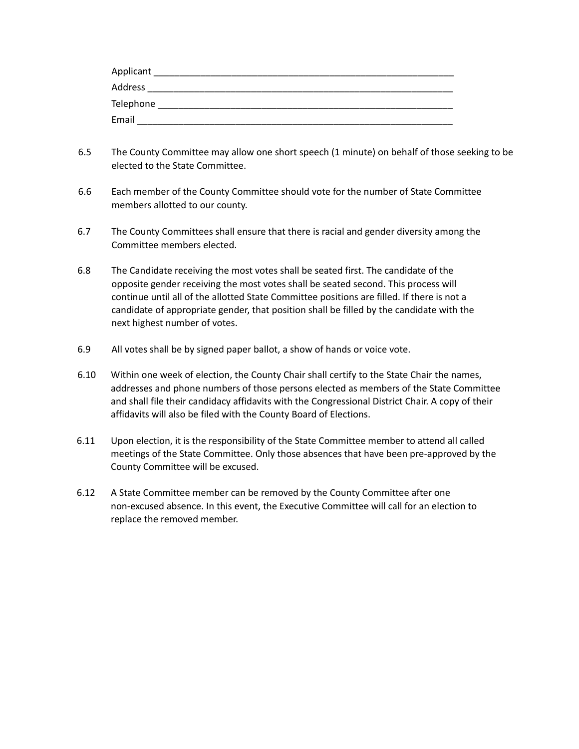| Applicant |  |
|-----------|--|
| Address   |  |
| Telephone |  |
| Email     |  |

- 6.5 The County Committee may allow one short speech (1 minute) on behalf of those seeking to be elected to the State Committee.
- 6.6 Each member of the County Committee should vote for the number of State Committee members allotted to our county.
- 6.7 The County Committees shall ensure that there is racial and gender diversity among the Committee members elected.
- 6.8 The Candidate receiving the most votes shall be seated first. The candidate of the opposite gender receiving the most votes shall be seated second. This process will continue until all of the allotted State Committee positions are filled. If there is not a candidate of appropriate gender, that position shall be filled by the candidate with the next highest number of votes.
- 6.9 All votes shall be by signed paper ballot, a show of hands or voice vote.
- 6.10 Within one week of election, the County Chair shall certify to the State Chair the names, addresses and phone numbers of those persons elected as members of the State Committee and shall file their candidacy affidavits with the Congressional District Chair. A copy of their affidavits will also be filed with the County Board of Elections.
- 6.11 Upon election, it is the responsibility of the State Committee member to attend all called meetings of the State Committee. Only those absences that have been pre-approved by the County Committee will be excused.
- 6.12 A State Committee member can be removed by the County Committee after one non-excused absence. In this event, the Executive Committee will call for an election to replace the removed member.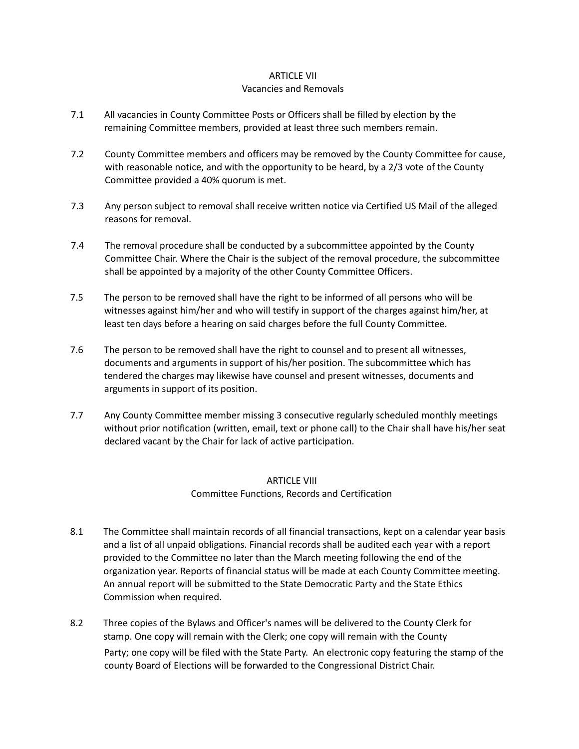### ARTICLE VII

#### Vacancies and Removals

- 7.1 All vacancies in County Committee Posts or Officers shall be filled by election by the remaining Committee members, provided at least three such members remain.
- 7.2 County Committee members and officers may be removed by the County Committee for cause, with reasonable notice, and with the opportunity to be heard, by a 2/3 vote of the County Committee provided a 40% quorum is met.
- 7.3 Any person subject to removal shall receive written notice via Certified US Mail of the alleged reasons for removal.
- 7.4 The removal procedure shall be conducted by a subcommittee appointed by the County Committee Chair. Where the Chair is the subject of the removal procedure, the subcommittee shall be appointed by a majority of the other County Committee Officers.
- 7.5 The person to be removed shall have the right to be informed of all persons who will be witnesses against him/her and who will testify in support of the charges against him/her, at least ten days before a hearing on said charges before the full County Committee.
- 7.6 The person to be removed shall have the right to counsel and to present all witnesses, documents and arguments in support of his/her position. The subcommittee which has tendered the charges may likewise have counsel and present witnesses, documents and arguments in support of its position.
- 7.7 Any County Committee member missing 3 consecutive regularly scheduled monthly meetings without prior notification (written, email, text or phone call) to the Chair shall have his/her seat declared vacant by the Chair for lack of active participation.

# ARTICLE VIII Committee Functions, Records and Certification

- 8.1 The Committee shall maintain records of all financial transactions, kept on a calendar year basis and a list of all unpaid obligations. Financial records shall be audited each year with a report provided to the Committee no later than the March meeting following the end of the organization year. Reports of financial status will be made at each County Committee meeting. An annual report will be submitted to the State Democratic Party and the State Ethics Commission when required.
- 8.2 Three copies of the Bylaws and Officer's names will be delivered to the County Clerk for stamp. One copy will remain with the Clerk; one copy will remain with the County Party; one copy will be filed with the State Party. An electronic copy featuring the stamp of the county Board of Elections will be forwarded to the Congressional District Chair.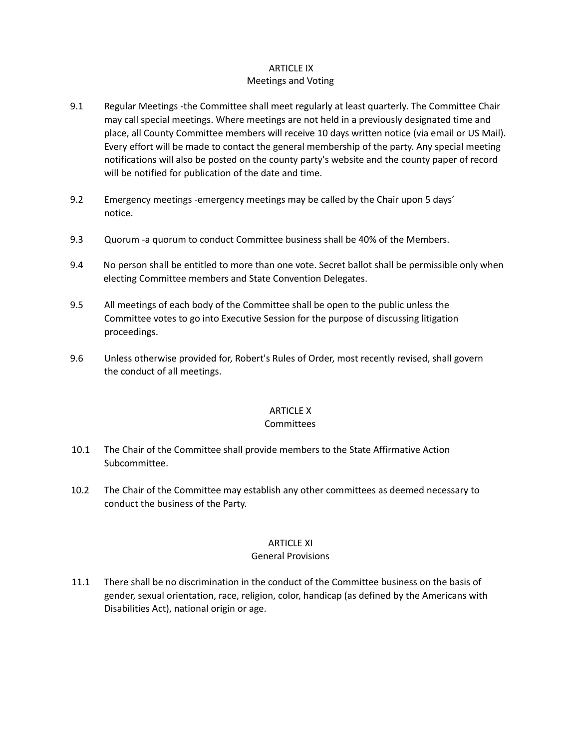# ARTICLE IX

# Meetings and Voting

- 9.1 Regular Meetings -the Committee shall meet regularly at least quarterly. The Committee Chair may call special meetings. Where meetings are not held in a previously designated time and place, all County Committee members will receive 10 days written notice (via email or US Mail). Every effort will be made to contact the general membership of the party. Any special meeting notifications will also be posted on the county party's website and the county paper of record will be notified for publication of the date and time.
- 9.2 Emergency meetings -emergency meetings may be called by the Chair upon 5 days' notice.
- 9.3 Quorum -a quorum to conduct Committee business shall be 40% of the Members.
- 9.4 No person shall be entitled to more than one vote. Secret ballot shall be permissible only when electing Committee members and State Convention Delegates.
- 9.5 All meetings of each body of the Committee shall be open to the public unless the Committee votes to go into Executive Session for the purpose of discussing litigation proceedings.
- 9.6 Unless otherwise provided for, Robert's Rules of Order, most recently revised, shall govern the conduct of all meetings.

## ARTICLE X

### **Committees**

- 10.1 The Chair of the Committee shall provide members to the State Affirmative Action Subcommittee.
- 10.2 The Chair of the Committee may establish any other committees as deemed necessary to conduct the business of the Party.

## ARTICLE XI

### General Provisions

11.1 There shall be no discrimination in the conduct of the Committee business on the basis of gender, sexual orientation, race, religion, color, handicap (as defined by the Americans with Disabilities Act), national origin or age.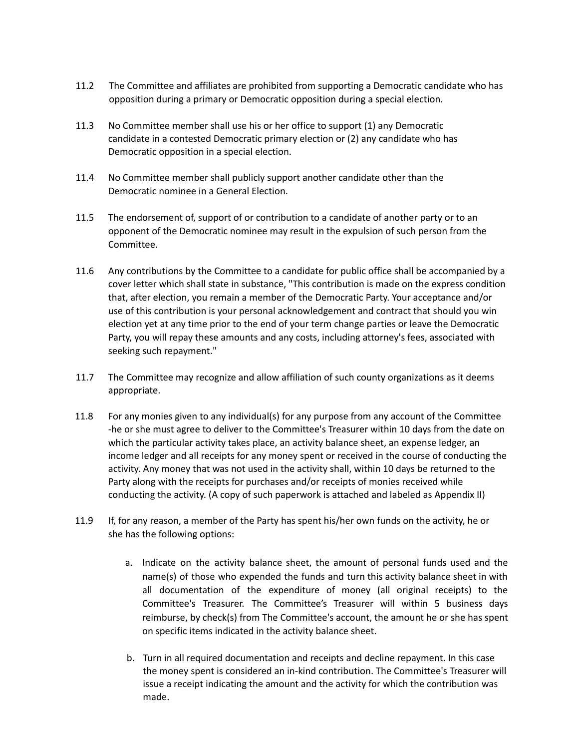- 11.2 The Committee and affiliates are prohibited from supporting a Democratic candidate who has opposition during a primary or Democratic opposition during a special election.
- 11.3 No Committee member shall use his or her office to support (1) any Democratic candidate in a contested Democratic primary election or (2) any candidate who has Democratic opposition in a special election.
- 11.4 No Committee member shall publicly support another candidate other than the Democratic nominee in a General Election.
- 11.5 The endorsement of, support of or contribution to a candidate of another party or to an opponent of the Democratic nominee may result in the expulsion of such person from the Committee.
- 11.6 Any contributions by the Committee to a candidate for public office shall be accompanied by a cover letter which shall state in substance, "This contribution is made on the express condition that, after election, you remain a member of the Democratic Party. Your acceptance and/or use of this contribution is your personal acknowledgement and contract that should you win election yet at any time prior to the end of your term change parties or leave the Democratic Party, you will repay these amounts and any costs, including attorney's fees, associated with seeking such repayment."
- 11.7 The Committee may recognize and allow affiliation of such county organizations as it deems appropriate.
- 11.8 For any monies given to any individual(s) for any purpose from any account of the Committee -he or she must agree to deliver to the Committee's Treasurer within 10 days from the date on which the particular activity takes place, an activity balance sheet, an expense ledger, an income ledger and all receipts for any money spent or received in the course of conducting the activity. Any money that was not used in the activity shall, within 10 days be returned to the Party along with the receipts for purchases and/or receipts of monies received while conducting the activity. (A copy of such paperwork is attached and labeled as Appendix II)
- 11.9 If, for any reason, a member of the Party has spent his/her own funds on the activity, he or she has the following options:
	- a. Indicate on the activity balance sheet, the amount of personal funds used and the name(s) of those who expended the funds and turn this activity balance sheet in with all documentation of the expenditure of money (all original receipts) to the Committee's Treasurer. The Committee's Treasurer will within 5 business days reimburse, by check(s) from The Committee's account, the amount he or she has spent on specific items indicated in the activity balance sheet.
	- b. Turn in all required documentation and receipts and decline repayment. In this case the money spent is considered an in-kind contribution. The Committee's Treasurer will issue a receipt indicating the amount and the activity for which the contribution was made.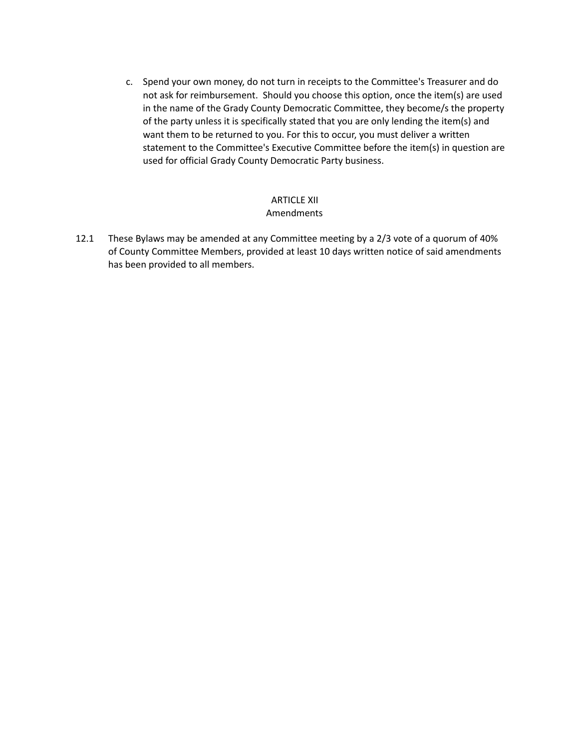c. Spend your own money, do not turn in receipts to the Committee's Treasurer and do not ask for reimbursement. Should you choose this option, once the item(s) are used in the name of the Grady County Democratic Committee, they become/s the property of the party unless it is specifically stated that you are only lending the item(s) and want them to be returned to you. For this to occur, you must deliver a written statement to the Committee's Executive Committee before the item(s) in question are used for official Grady County Democratic Party business.

#### ARTICLE XII Amendments

12.1 These Bylaws may be amended at any Committee meeting by a 2/3 vote of a quorum of 40% of County Committee Members, provided at least 10 days written notice of said amendments has been provided to all members.